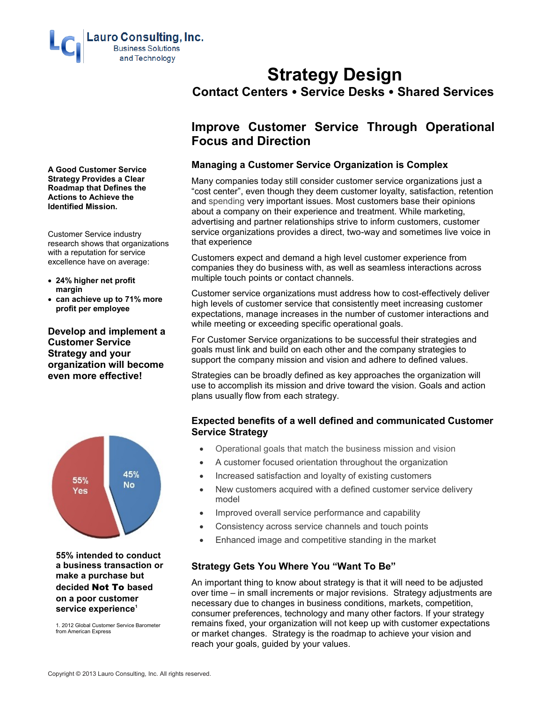# **Strategy Design Contact Centers Service Desks Shared Services**

## **Improve Customer Service Through Operational Focus and Direction**

## **Managing a Customer Service Organization is Complex**

Many companies today still consider customer service organizations just a "cost center", even though they deem customer loyalty, satisfaction, retention and spending very important issues. Most customers base their opinions about a company on their experience and treatment. While marketing, advertising and partner relationships strive to inform customers, customer service organizations provides a direct, two-way and sometimes live voice in that experience

Customers expect and demand a high level customer experience from companies they do business with, as well as seamless interactions across multiple touch points or contact channels.

Customer service organizations must address how to cost-effectively deliver high levels of customer service that consistently meet increasing customer expectations, manage increases in the number of customer interactions and while meeting or exceeding specific operational goals.

For Customer Service organizations to be successful their strategies and goals must link and build on each other and the company strategies to support the company mission and vision and adhere to defined values.

Strategies can be broadly defined as key approaches the organization will use to accomplish its mission and drive toward the vision. Goals and action plans usually flow from each strategy.

## **Expected benefits of a well defined and communicated Customer Service Strategy**

- Operational goals that match the business mission and vision
- A customer focused orientation throughout the organization
- Increased satisfaction and loyalty of existing customers
- New customers acquired with a defined customer service delivery model
- Improved overall service performance and capability
- Consistency across service channels and touch points
- Enhanced image and competitive standing in the market

## **Strategy Gets You Where You "Want To Be"**

An important thing to know about strategy is that it will need to be adjusted over time – in small increments or major revisions. Strategy adjustments are necessary due to changes in business conditions, markets, competition, consumer preferences, technology and many other factors. If your strategy remains fixed, your organization will not keep up with customer expectations or market changes. Strategy is the roadmap to achieve your vision and reach your goals, guided by your values.

**A Good Customer Service Strategy Provides a Clear Roadmap that Defines the Actions to Achieve the Identified Mission.**

Customer Service industry research shows that organizations with a reputation for service excellence have on average:

- **24% higher net profit margin**
- **can achieve up to 71% more profit per employee**

**Develop and implement a Customer Service Strategy and your organization will become even more effective!**



**55% intended to conduct a business transaction or make a purchase but decided** Not To **based on a poor customer service experience<sup>1</sup>**

1. 2012 Global Customer Service Barometer from American Express